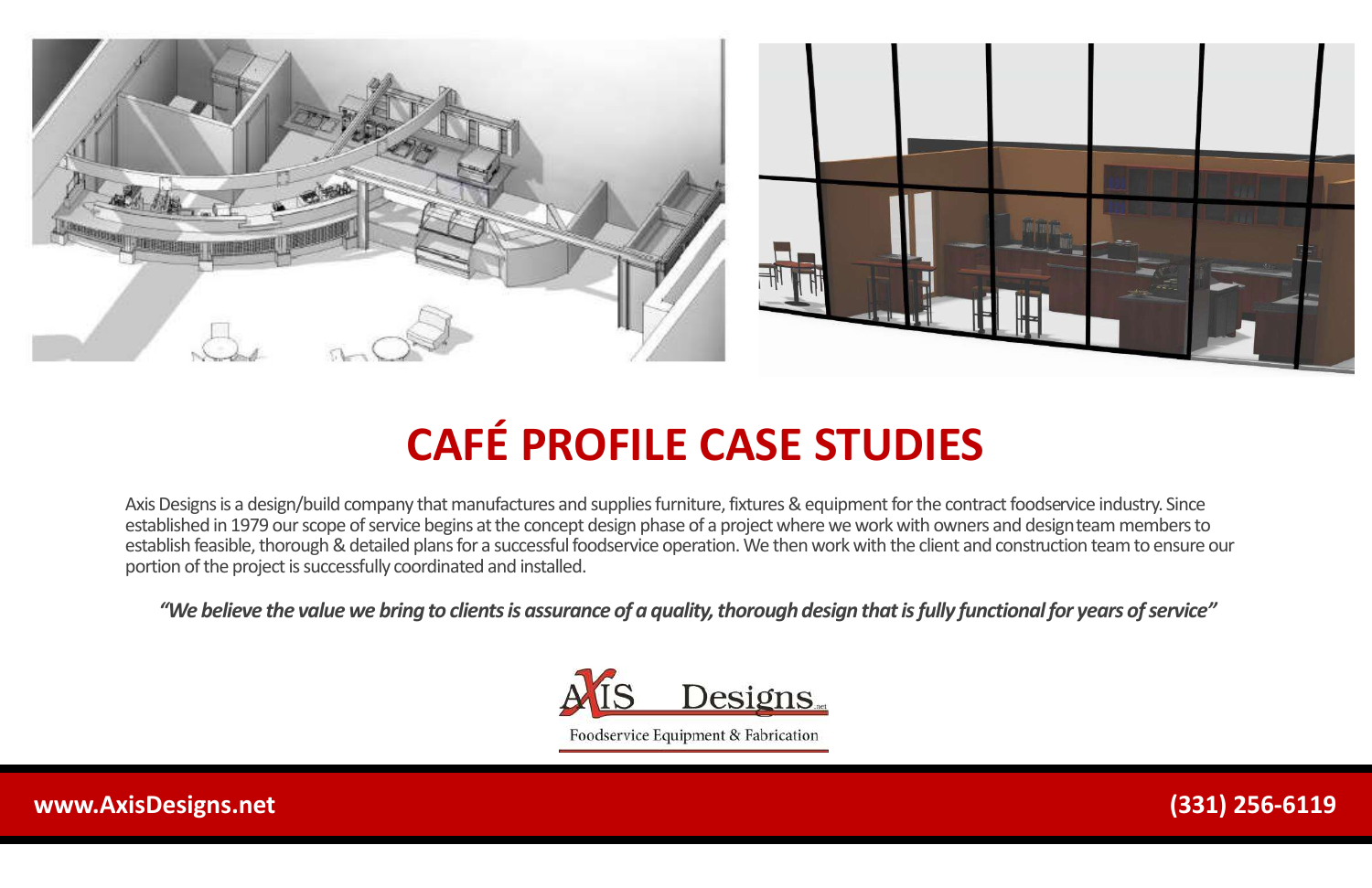Axis Designs is a design/build company that manufactures and supplies furniture, fixtures & equipment for the contract foodservice industry. Since established in 1979 our scope of service begins at the concept design phase of a project where we work with owners and designteam members to establish feasible, thorough & detailed plans for a successful foodservice operation. We then work with the client and construction team to ensure our portion of the project is successfully coordinated and installed.

*"We believe the value we bring to clients is assurance of a quality, thorough design that is fully functional for years of service"*



Foodservice Equipment & Fabrication



# **CAFÉ PROFILE CASE STUDIES**

**www.AxisDesigns.net (331) 256-6119**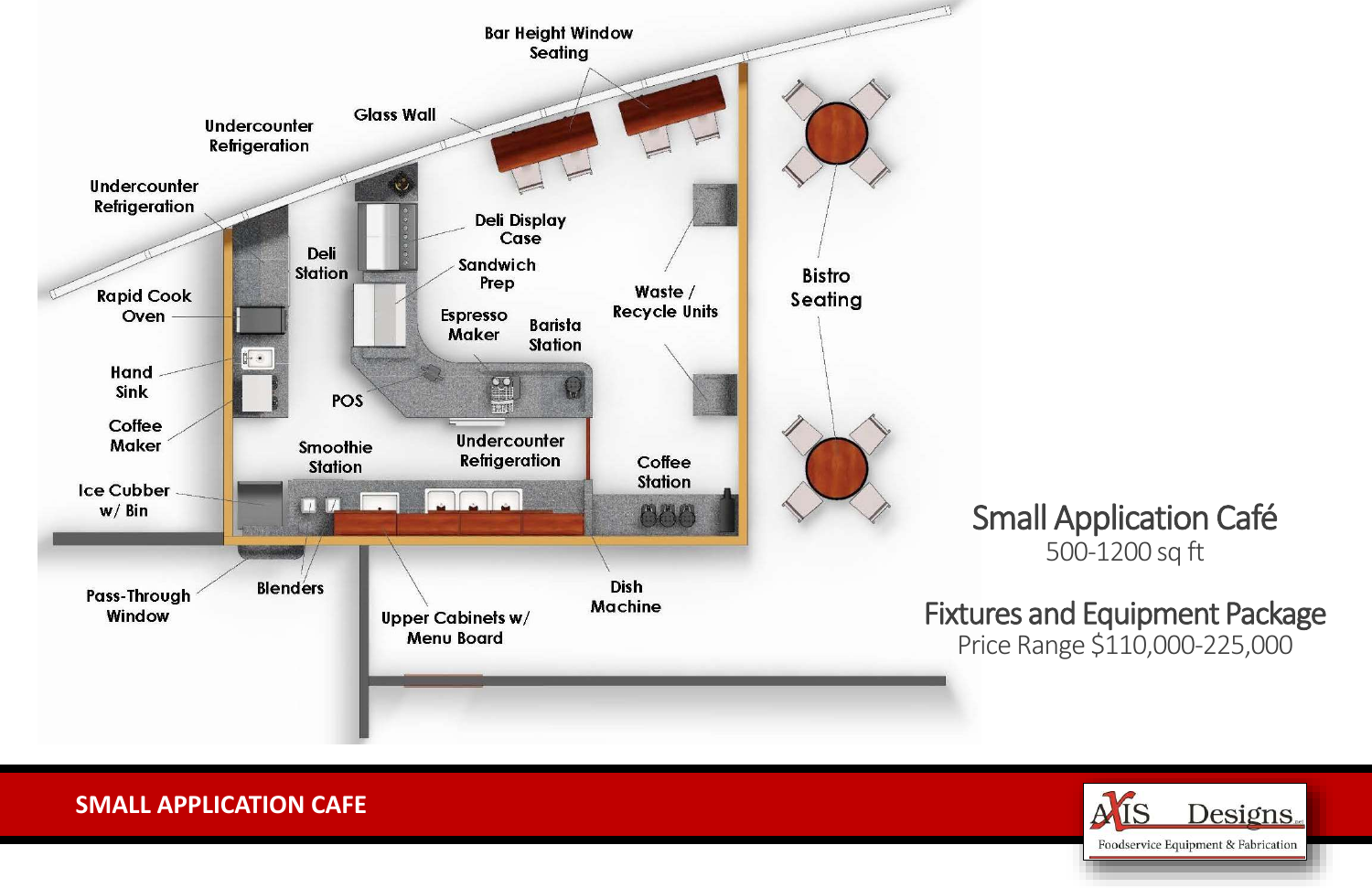

#### **SMALL APPLICATION CAFE**

# Small Application Café 500-1200 sq ft

### Fixtures and Equipment Package Price Range \$110,000-225,000

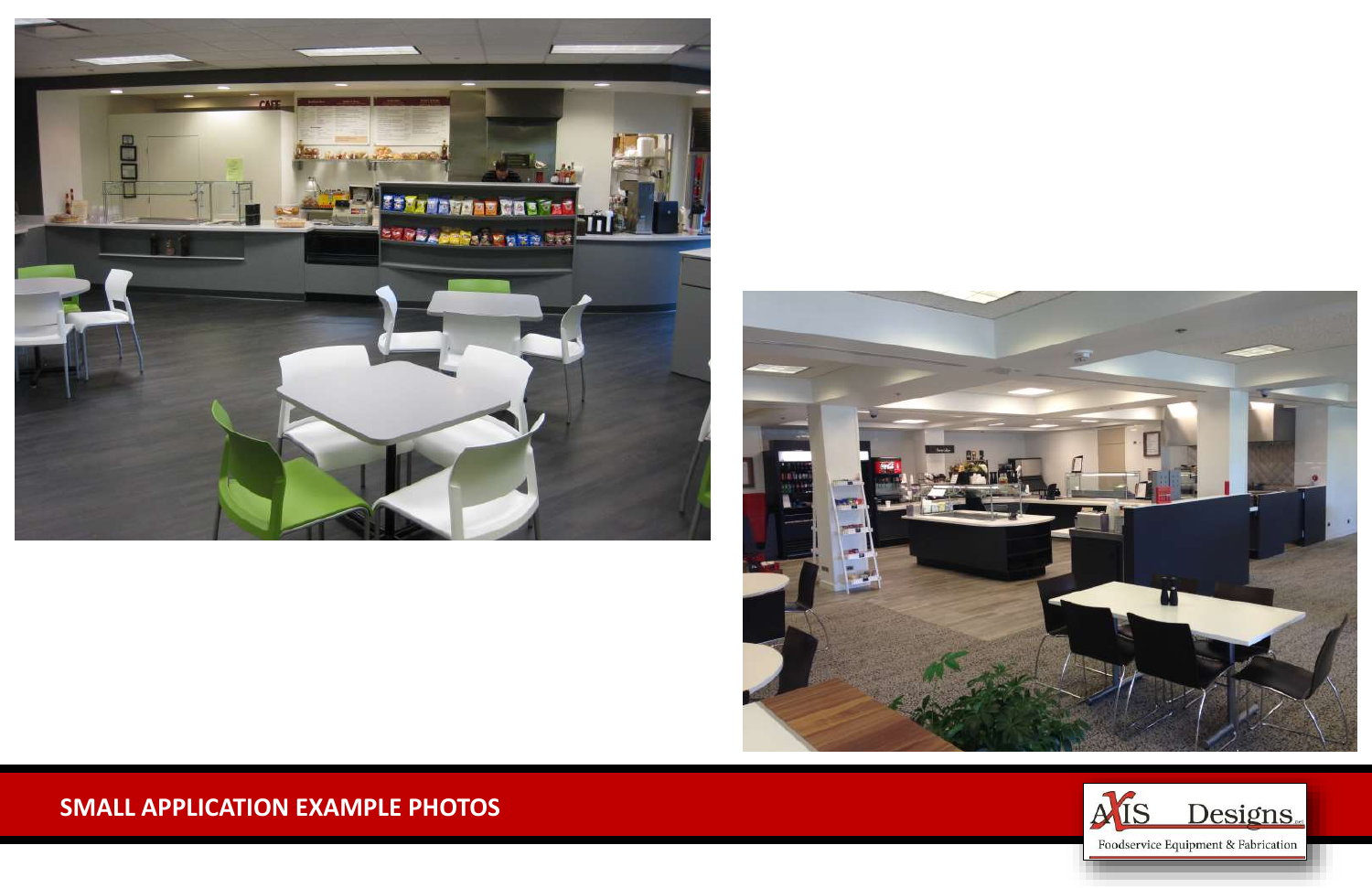



#### **SMALL APPLICATION EXAMPLE PHOTOS**

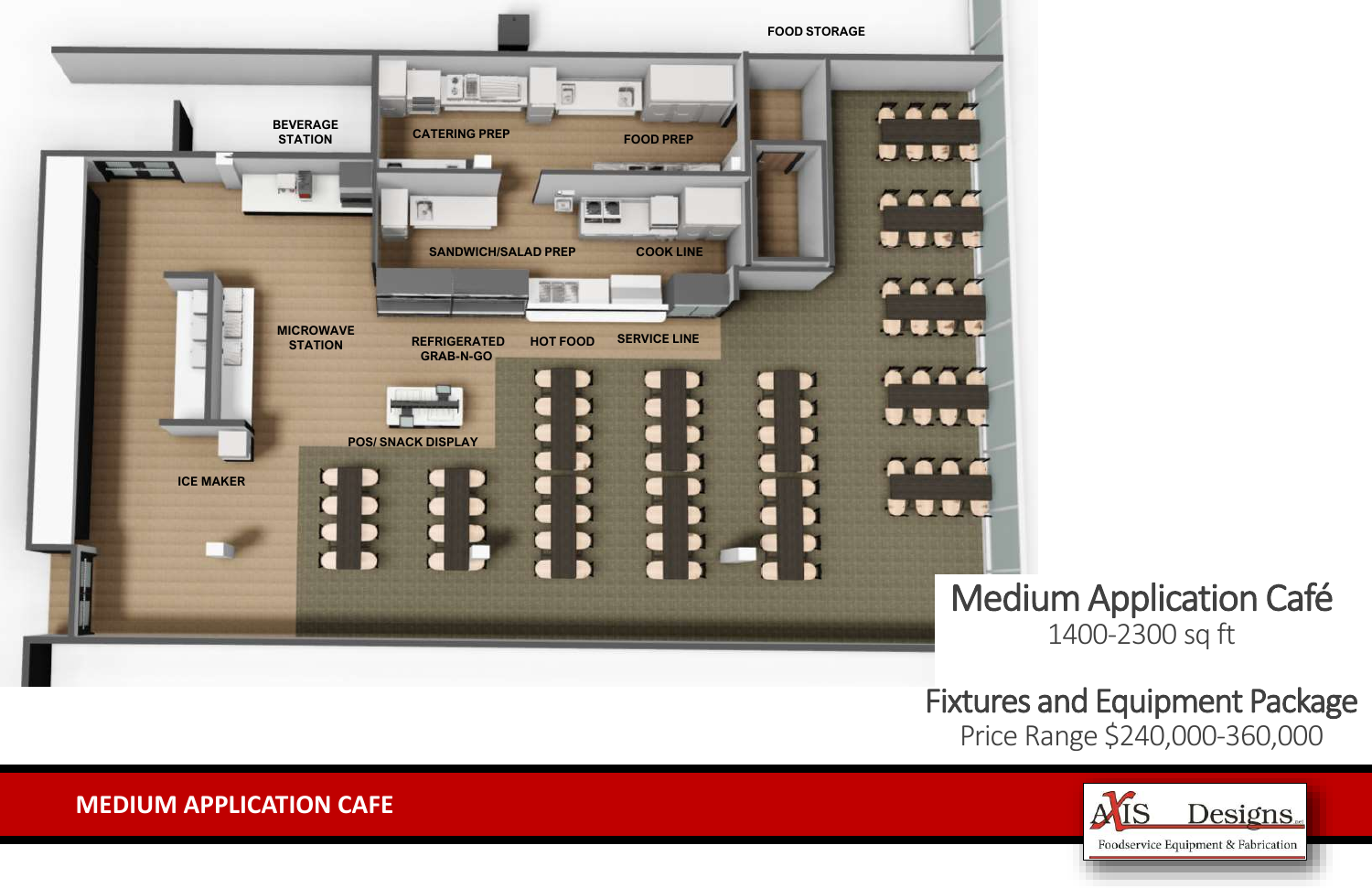**MEDIUM APPLICATION CAFE**



# Medium Application Café 1400-2300 sq ft

Fixtures and Equipment Package Price Range \$240,000-360,000

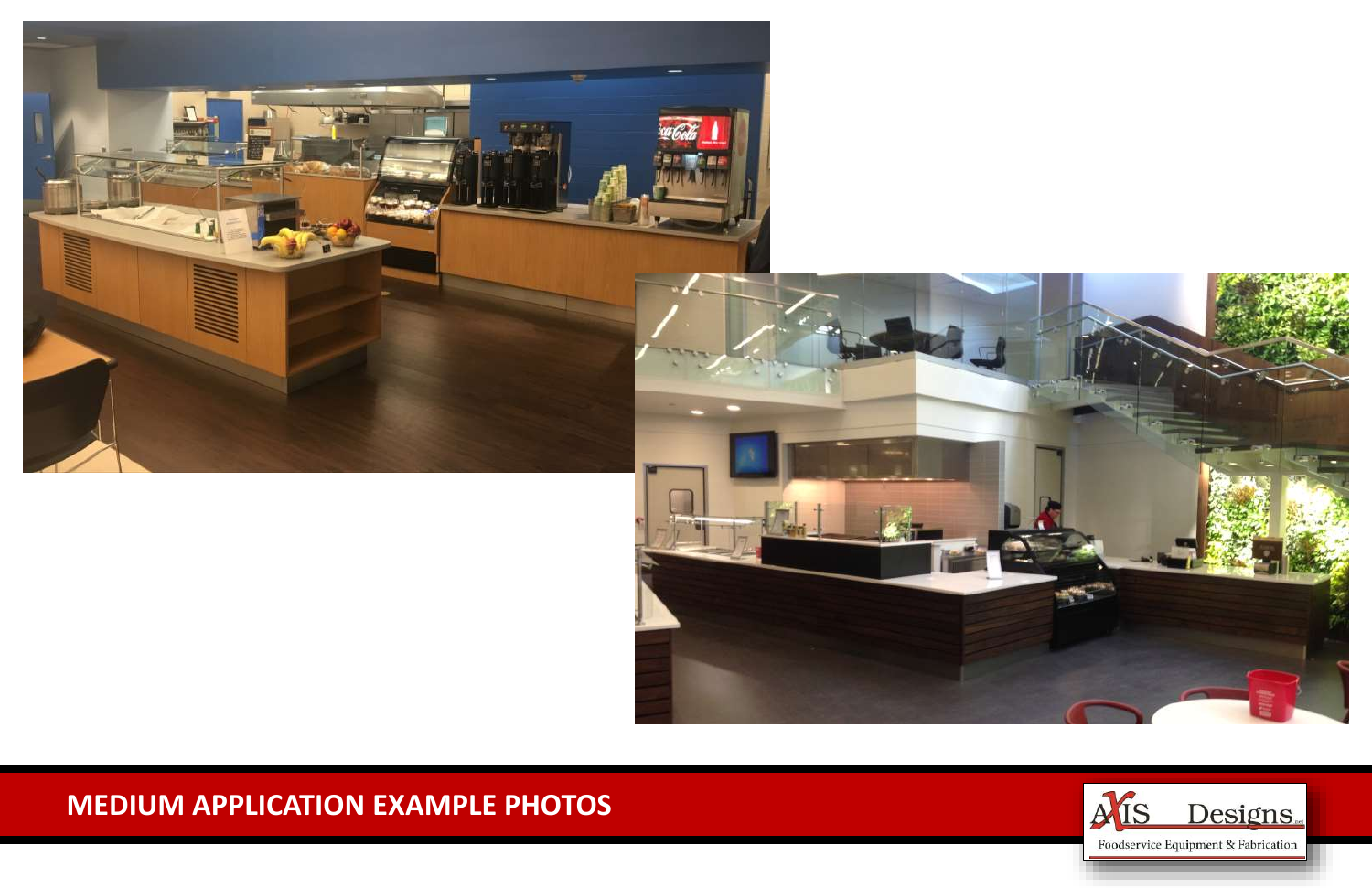

### **MEDIUM APPLICATION EXAMPLE PHOTOS**

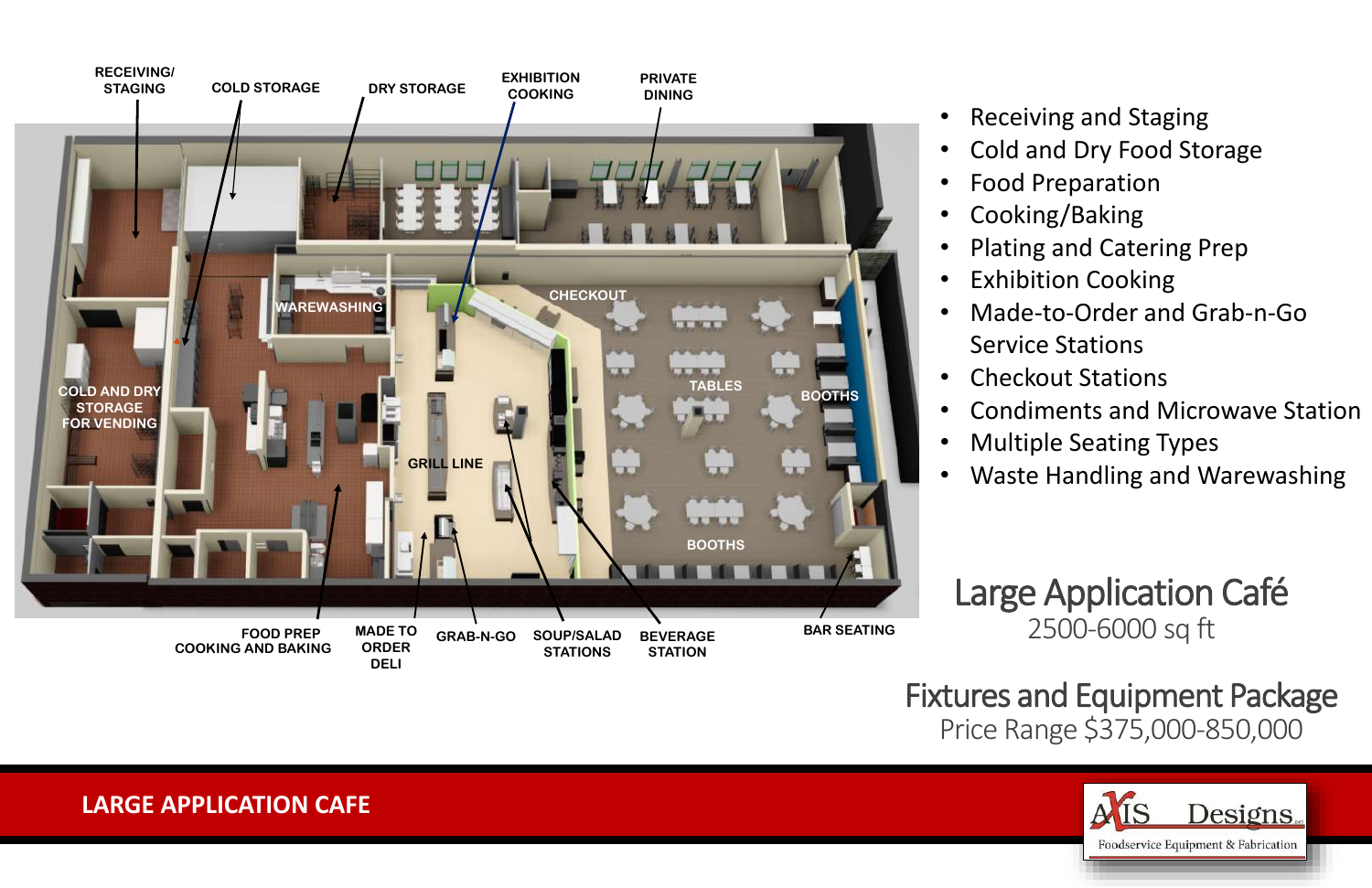#### **LARGE APPLICATION CAFE**

# Large Application Café 2500-6000 sq ft

Fixtures and Equipment Package Price Range \$375,000-850,000



• Receiving and Staging • Cold and Dry Food Storage • Food Preparation • Cooking/Baking • Plating and Catering Prep • Exhibition Cooking • Made-to-Order and Grab-n-Go Service Stations • Checkout Stations • Condiments and Microwave Station • Multiple Seating Types

• Waste Handling and Warewashing

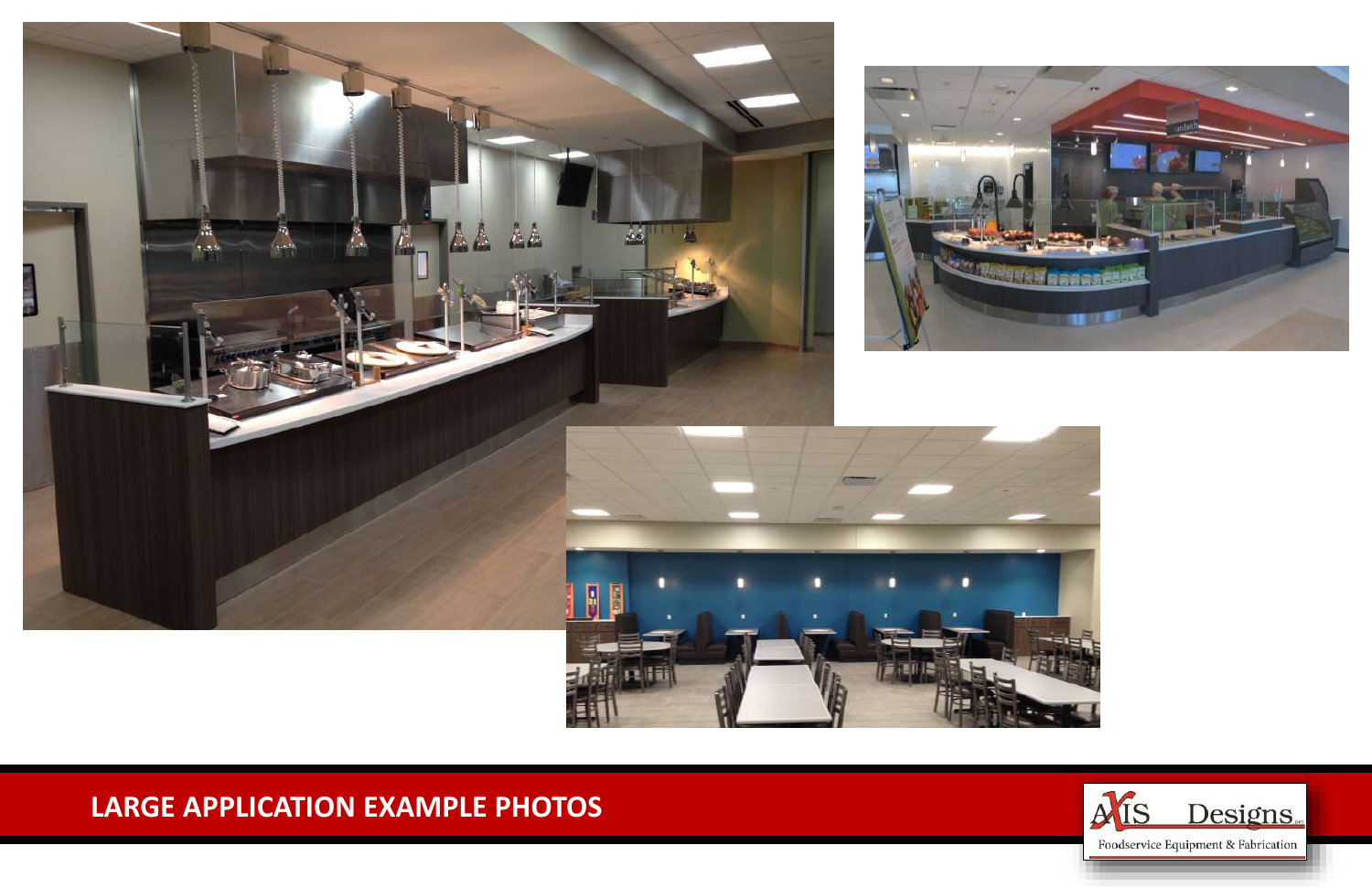## **LARGE APPLICATION EXAMPLE PHOTOS**